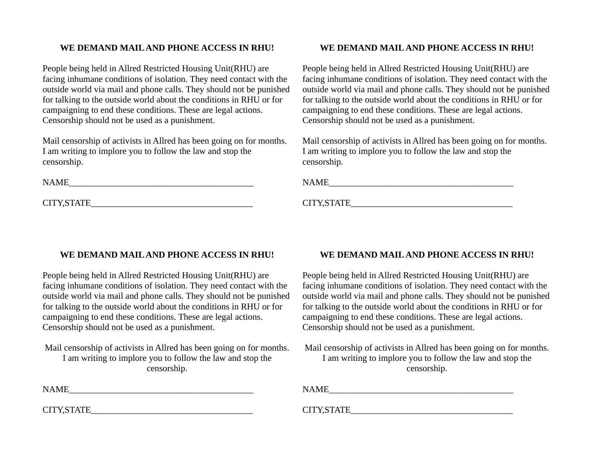## **WE DEMAND MAIL AND PHONE ACCESS IN RHU!**

People being held in Allred Restricted Housing Unit(RHU) are facing inhumane conditions of isolation. They need contact with the outside world via mail and phone calls. They should not be punished for talking to the outside world about the conditions in RHU or for campaigning to end these conditions. These are legal actions. Censorship should not be used as a punishment.

Mail censorship of activists in Allred has been going on for months. I am writing to implore you to follow the law and stop the censorship.

 $\text{NAME}$ 

CITY,STATE\_\_\_\_\_\_\_\_\_\_\_\_\_\_\_\_\_\_\_\_\_\_\_\_\_\_\_\_\_\_\_\_\_\_\_\_

## **WE DEMAND MAIL AND PHONE ACCESS IN RHU!**

People being held in Allred Restricted Housing Unit(RHU) are facing inhumane conditions of isolation. They need contact with the outside world via mail and phone calls. They should not be punished for talking to the outside world about the conditions in RHU or for campaigning to end these conditions. These are legal actions. Censorship should not be used as a punishment.

Mail censorship of activists in Allred has been going on for months. I am writing to implore you to follow the law and stop the censorship.

 $\label{eq:NAME} \begin{minipage}[c]{0.9\linewidth} \textbf{NAME\_} \end{minipage}$ 

CITY,STATE\_\_\_\_\_\_\_\_\_\_\_\_\_\_\_\_\_\_\_\_\_\_\_\_\_\_\_\_\_\_\_\_\_\_\_\_

## **WE DEMAND MAIL AND PHONE ACCESS IN RHU!**

People being held in Allred Restricted Housing Unit(RHU) are facing inhumane conditions of isolation. They need contact with the outside world via mail and phone calls. They should not be punished for talking to the outside world about the conditions in RHU or for campaigning to end these conditions. These are legal actions. Censorship should not be used as a punishment.

Mail censorship of activists in Allred has been going on for months. I am writing to implore you to follow the law and stop the censorship.

CITY,STATE\_\_\_\_\_\_\_\_\_\_\_\_\_\_\_\_\_\_\_\_\_\_\_\_\_\_\_\_\_\_\_\_\_\_\_\_

## **WE DEMAND MAIL AND PHONE ACCESS IN RHU!**

People being held in Allred Restricted Housing Unit(RHU) are facing inhumane conditions of isolation. They need contact with the outside world via mail and phone calls. They should not be punished for talking to the outside world about the conditions in RHU or for campaigning to end these conditions. These are legal actions. Censorship should not be used as a punishment.

| Mail censorship of activists in Allred has been going on for months. |
|----------------------------------------------------------------------|
| I am writing to implore you to follow the law and stop the           |
| censorship.                                                          |

 $NAME$ 

CITY,STATE\_\_\_\_\_\_\_\_\_\_\_\_\_\_\_\_\_\_\_\_\_\_\_\_\_\_\_\_\_\_\_\_\_\_\_\_